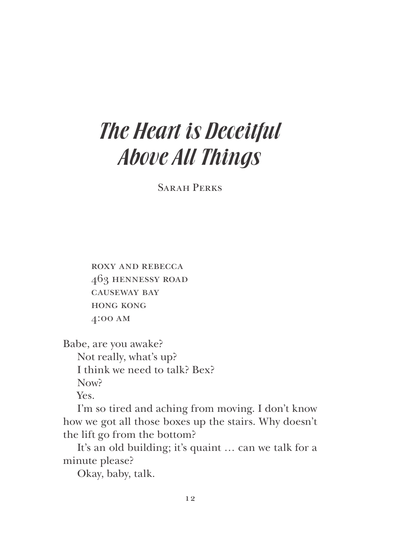## The Heart is Deceitful Above All Things

SARAH PERKS

 roxy and rebecca 463 hennessy road causeway bay hong kong 4:00 am

Babe, are you awake?

Not really, what's up? I think we need to talk? Bex? Now?

Yes.

I'm so tired and aching from moving. I don't know how we got all those boxes up the stairs. Why doesn't the lift go from the bottom?

It's an old building; it's quaint … can we talk for a minute please?

Okay, baby, talk.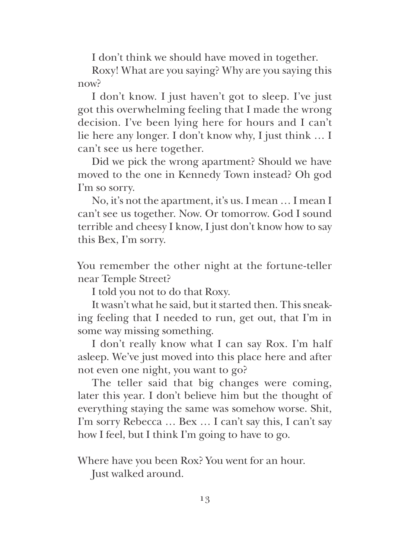I don't think we should have moved in together.

Roxy! What are you saying? Why are you saying this now?

I don't know. I just haven't got to sleep. I've just got this overwhelming feeling that I made the wrong decision. I've been lying here for hours and I can't lie here any longer. I don't know why, I just think … I can't see us here together.

Did we pick the wrong apartment? Should we have moved to the one in Kennedy Town instead? Oh god I'm so sorry.

No, it's not the apartment, it's us. I mean … I mean I can't see us together. Now. Or tomorrow. God I sound terrible and cheesy I know, I just don't know how to say this Bex, I'm sorry.

You remember the other night at the fortune-teller near Temple Street?

I told you not to do that Roxy.

It wasn't what he said, but it started then. This sneaking feeling that I needed to run, get out, that I'm in some way missing something.

I don't really know what I can say Rox. I'm half asleep. We've just moved into this place here and after not even one night, you want to go?

The teller said that big changes were coming, later this year. I don't believe him but the thought of everything staying the same was somehow worse. Shit, I'm sorry Rebecca … Bex … I can't say this, I can't say how I feel, but I think I'm going to have to go.

Where have you been Rox? You went for an hour.

Just walked around.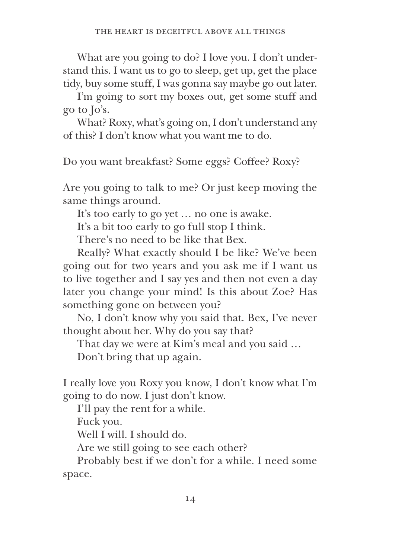What are you going to do? I love you. I don't understand this. I want us to go to sleep, get up, get the place tidy, buy some stuff, I was gonna say maybe go out later.

I'm going to sort my boxes out, get some stuff and go to Jo's.

What? Roxy, what's going on, I don't understand any of this? I don't know what you want me to do.

Do you want breakfast? Some eggs? Coffee? Roxy?

Are you going to talk to me? Or just keep moving the same things around.

It's too early to go yet … no one is awake.

It's a bit too early to go full stop I think.

There's no need to be like that Bex.

Really? What exactly should I be like? We've been going out for two years and you ask me if I want us to live together and I say yes and then not even a day later you change your mind! Is this about Zoe? Has something gone on between you?

No, I don't know why you said that. Bex, I've never thought about her. Why do you say that?

That day we were at Kim's meal and you said …

Don't bring that up again.

I really love you Roxy you know, I don't know what I'm going to do now. I just don't know.

I'll pay the rent for a while.

Fuck you.

Well I will. I should do.

Are we still going to see each other?

Probably best if we don't for a while. I need some space.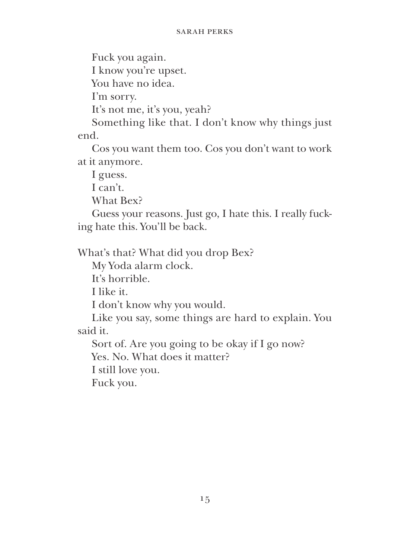Fuck you again.

I know you're upset.

You have no idea.

I'm sorry.

It's not me, it's you, yeah?

Something like that. I don't know why things just end.

Cos you want them too. Cos you don't want to work at it anymore.

I guess.

I can't.

What Bex?

Guess your reasons. Just go, I hate this. I really fucking hate this. You'll be back.

What's that? What did you drop Bex?

My Yoda alarm clock.

It's horrible.

I like it.

I don't know why you would.

Like you say, some things are hard to explain. You said it.

Sort of. Are you going to be okay if I go now?

Yes. No. What does it matter?

I still love you.

Fuck you.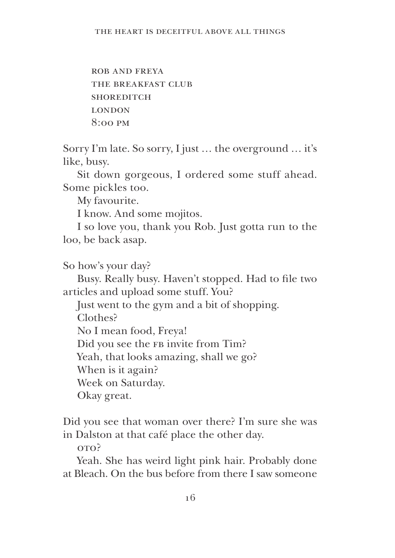rob and freya THE BREAKFAST CLUB **SHOREDITCH LONDON** 8:00 pm

Sorry I'm late. So sorry, I just … the overground … it's like, busy.

Sit down gorgeous, I ordered some stuff ahead. Some pickles too.

My favourite.

I know. And some mojitos.

I so love you, thank you Rob. Just gotta run to the loo, be back asap.

So how's your day?

Busy. Really busy. Haven't stopped. Had to fle two articles and upload some stuff. You?

Just went to the gym and a bit of shopping. Clothes? No I mean food, Freya! Did you see the FB invite from Tim? Yeah, that looks amazing, shall we go? When is it again? Week on Saturday. Okay great.

Did you see that woman over there? I'm sure she was in Dalston at that café place the other day.

oto?

Yeah. She has weird light pink hair. Probably done at Bleach. On the bus before from there I saw someone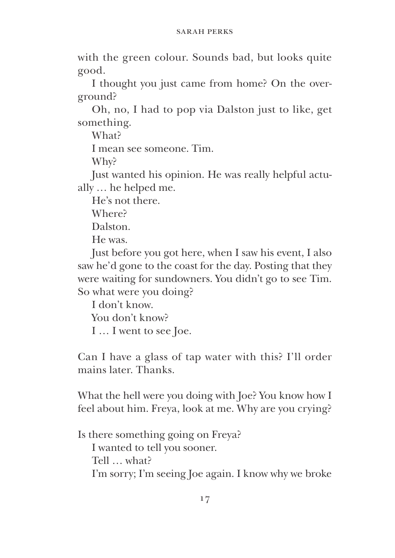with the green colour. Sounds bad, but looks quite good.

I thought you just came from home? On the overground?

Oh, no, I had to pop via Dalston just to like, get something.

What?

I mean see someone. Tim.

Why?

Just wanted his opinion. He was really helpful actually … he helped me.

He's not there.

Where?

Dalston.

He was.

Just before you got here, when I saw his event, I also saw he'd gone to the coast for the day. Posting that they were waiting for sundowners. You didn't go to see Tim. So what were you doing?

I don't know.

You don't know?

I … I went to see Joe.

Can I have a glass of tap water with this? I'll order mains later. Thanks.

What the hell were you doing with Joe? You know how I feel about him. Freya, look at me. Why are you crying?

Is there something going on Freya? I wanted to tell you sooner. Tell … what? I'm sorry; I'm seeing Joe again. I know why we broke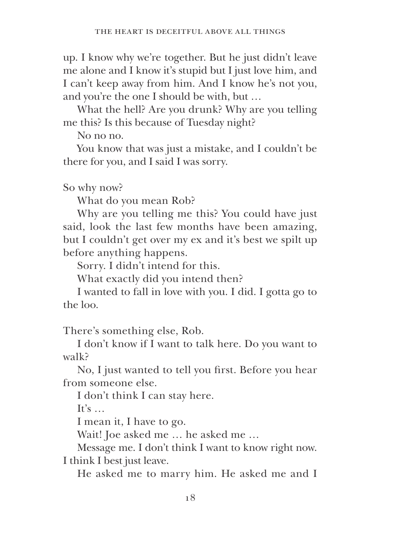up. I know why we're together. But he just didn't leave me alone and I know it's stupid but I just love him, and I can't keep away from him. And I know he's not you, and you're the one I should be with, but …

What the hell? Are you drunk? Why are you telling me this? Is this because of Tuesday night?

No no no.

You know that was just a mistake, and I couldn't be there for you, and I said I was sorry.

So why now?

What do you mean Rob?

Why are you telling me this? You could have just said, look the last few months have been amazing, but I couldn't get over my ex and it's best we spilt up before anything happens.

Sorry. I didn't intend for this.

What exactly did you intend then?

I wanted to fall in love with you. I did. I gotta go to the loo.

There's something else, Rob.

I don't know if I want to talk here. Do you want to walk?

No, I just wanted to tell you frst. Before you hear from someone else.

I don't think I can stay here.

It's  $\dots$ 

I mean it, I have to go.

Wait! Joe asked me … he asked me …

Message me. I don't think I want to know right now. I think I best just leave.

He asked me to marry him. He asked me and I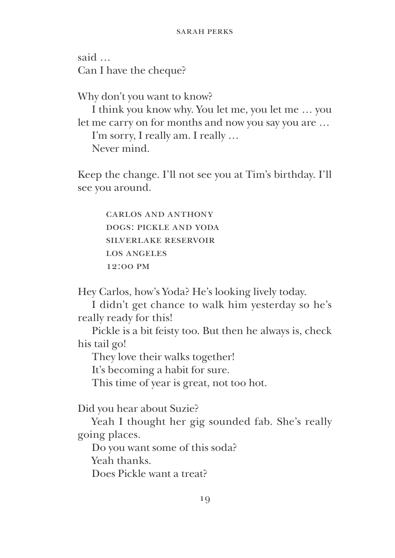said … Can I have the cheque?

Why don't you want to know?

I think you know why. You let me, you let me … you let me carry on for months and now you say you are … I'm sorry, I really am. I really … Never mind.

Keep the change. I'll not see you at Tim's birthday. I'll see you around.

> carlos and anthony dogs: pickle and yoda silverlake reservoir los angeles 12:00 pm

Hey Carlos, how's Yoda? He's looking lively today.

I didn't get chance to walk him yesterday so he's really ready for this!

Pickle is a bit feisty too. But then he always is, check his tail go!

They love their walks together!

It's becoming a habit for sure.

This time of year is great, not too hot.

Did you hear about Suzie?

Yeah I thought her gig sounded fab. She's really going places.

Do you want some of this soda?

Yeah thanks.

Does Pickle want a treat?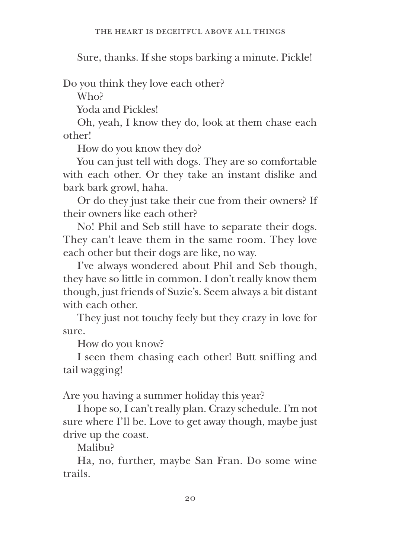Sure, thanks. If she stops barking a minute. Pickle!

Do you think they love each other?

Who?

Yoda and Pickles!

Oh, yeah, I know they do, look at them chase each other!

How do you know they do?

You can just tell with dogs. They are so comfortable with each other. Or they take an instant dislike and bark bark growl, haha.

Or do they just take their cue from their owners? If their owners like each other?

No! Phil and Seb still have to separate their dogs. They can't leave them in the same room. They love each other but their dogs are like, no way.

I've always wondered about Phil and Seb though, they have so little in common. I don't really know them though, just friends of Suzie's. Seem always a bit distant with each other.

They just not touchy feely but they crazy in love for sure.

How do you know?

I seen them chasing each other! Butt sniffng and tail wagging!

Are you having a summer holiday this year?

I hope so, I can't really plan. Crazy schedule. I'm not sure where I'll be. Love to get away though, maybe just drive up the coast.

Malibu?

Ha, no, further, maybe San Fran. Do some wine trails.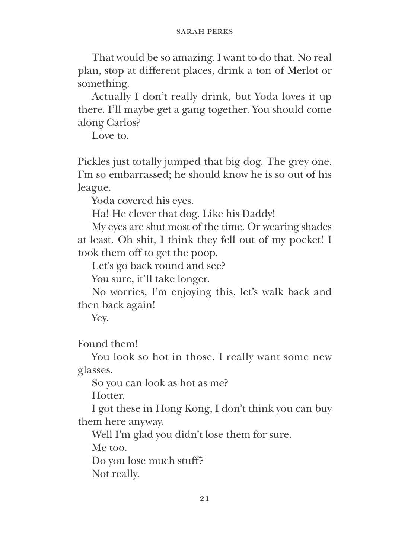That would be so amazing. I want to do that. No real plan, stop at different places, drink a ton of Merlot or something.

Actually I don't really drink, but Yoda loves it up there. I'll maybe get a gang together. You should come along Carlos?

Love to.

Pickles just totally jumped that big dog. The grey one. I'm so embarrassed; he should know he is so out of his league.

Yoda covered his eyes.

Ha! He clever that dog. Like his Daddy!

My eyes are shut most of the time. Or wearing shades at least. Oh shit, I think they fell out of my pocket! I took them off to get the poop.

Let's go back round and see?

You sure, it'll take longer.

No worries, I'm enjoying this, let's walk back and then back again!

Yey.

Found them!

You look so hot in those. I really want some new glasses.

So you can look as hot as me?

Hotter.

I got these in Hong Kong, I don't think you can buy them here anyway.

Well I'm glad you didn't lose them for sure.

Me too.

Do you lose much stuff?

Not really.